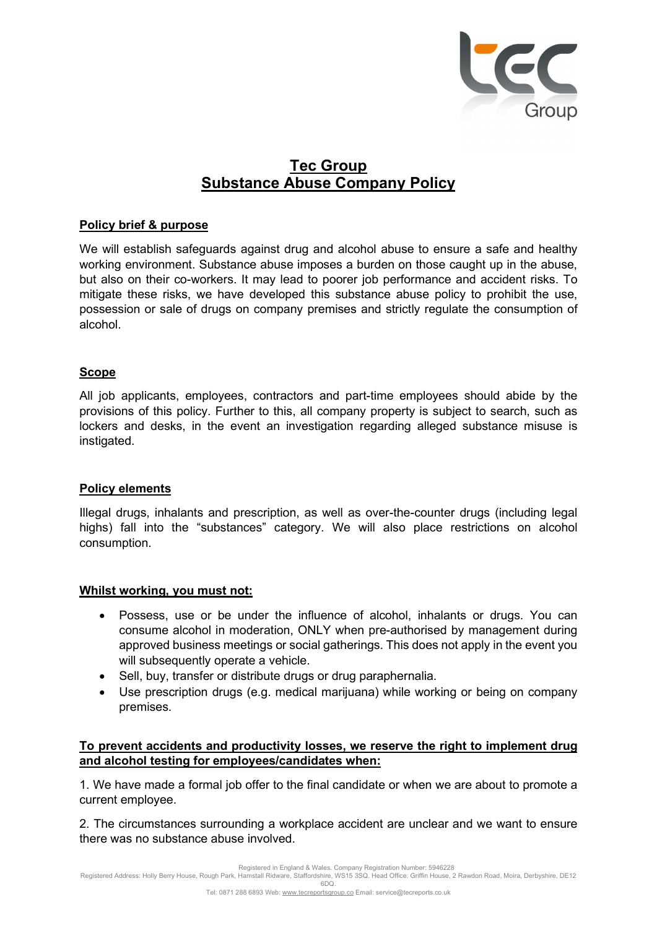

# Tec Group Substance Abuse Company Policy

#### Policy brief & purpose

We will establish safeguards against drug and alcohol abuse to ensure a safe and healthy working environment. Substance abuse imposes a burden on those caught up in the abuse, but also on their co-workers. It may lead to poorer job performance and accident risks. To mitigate these risks, we have developed this substance abuse policy to prohibit the use, possession or sale of drugs on company premises and strictly regulate the consumption of alcohol.

## Scope

All job applicants, employees, contractors and part-time employees should abide by the provisions of this policy. Further to this, all company property is subject to search, such as lockers and desks, in the event an investigation regarding alleged substance misuse is instigated.

#### Policy elements

Illegal drugs, inhalants and prescription, as well as over-the-counter drugs (including legal highs) fall into the "substances" category. We will also place restrictions on alcohol consumption.

#### Whilst working, you must not:

- Possess, use or be under the influence of alcohol, inhalants or drugs. You can consume alcohol in moderation, ONLY when pre-authorised by management during approved business meetings or social gatherings. This does not apply in the event you will subsequently operate a vehicle.
- Sell, buy, transfer or distribute drugs or drug paraphernalia.
- Use prescription drugs (e.g. medical marijuana) while working or being on company premises.

## To prevent accidents and productivity losses, we reserve the right to implement drug and alcohol testing for employees/candidates when:

1. We have made a formal job offer to the final candidate or when we are about to promote a current employee.

2. The circumstances surrounding a workplace accident are unclear and we want to ensure there was no substance abuse involved.

Registered in England & Wales. Company Registration Number: 5946228

Registered Address: Holly Berry House, Rough Park, Hamstall Ridware, Staffordshire, WS15 3SQ. Head Office: Griffin House, 2 Rawdon Road, Moira, Derbyshire, DE12 6DQ.